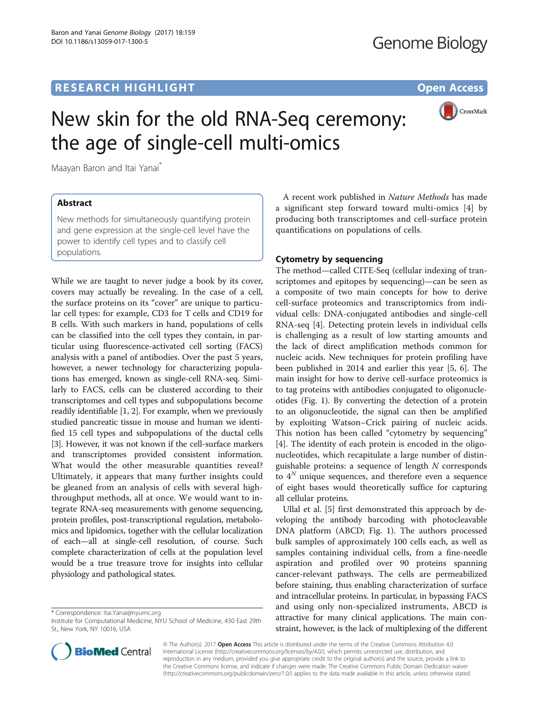## **RESEARCH HIGHLIGHT** THE OPEN ACCESS OPEN ACCESS



# New skin for the old RNA-Seq ceremony: the age of single-cell multi-omics

Maayan Baron and Itai Yanai\*

## Abstract

New methods for simultaneously quantifying protein and gene expression at the single-cell level have the power to identify cell types and to classify cell populations.

While we are taught to never judge a book by its cover, covers may actually be revealing. In the case of a cell, the surface proteins on its "cover" are unique to particular cell types: for example, CD3 for T cells and CD19 for B cells. With such markers in hand, populations of cells can be classified into the cell types they contain, in particular using fluorescence-activated cell sorting (FACS) analysis with a panel of antibodies. Over the past 5 years, however, a newer technology for characterizing populations has emerged, known as single-cell RNA-seq. Similarly to FACS, cells can be clustered according to their transcriptomes and cell types and subpopulations become readily identifiable [[1](#page-2-0), [2](#page-2-0)]. For example, when we previously studied pancreatic tissue in mouse and human we identified 15 cell types and subpopulations of the ductal cells [[3\]](#page-2-0). However, it was not known if the cell-surface markers and transcriptomes provided consistent information. What would the other measurable quantities reveal? Ultimately, it appears that many further insights could be gleaned from an analysis of cells with several highthroughput methods, all at once. We would want to integrate RNA-seq measurements with genome sequencing, protein profiles, post-transcriptional regulation, metabolomics and lipidomics, together with the cellular localization of each—all at single-cell resolution, of course. Such complete characterization of cells at the population level would be a true treasure trove for insights into cellular physiology and pathological states.

\* Correspondence: [Itai.Yanai@nyumc.org](mailto:Itai.Yanai@nyumc.org)



## Cytometry by sequencing

The method—called CITE-Seq (cellular indexing of transcriptomes and epitopes by sequencing)—can be seen as a composite of two main concepts for how to derive cell-surface proteomics and transcriptomics from individual cells: DNA-conjugated antibodies and single-cell RNA-seq [[4\]](#page-2-0). Detecting protein levels in individual cells is challenging as a result of low starting amounts and the lack of direct amplification methods common for nucleic acids. New techniques for protein profiling have been published in 2014 and earlier this year [\[5](#page-2-0), [6](#page-2-0)]. The main insight for how to derive cell-surface proteomics is to tag proteins with antibodies conjugated to oligonucleotides (Fig. [1](#page-1-0)). By converting the detection of a protein to an oligonucleotide, the signal can then be amplified by exploiting Watson–Crick pairing of nucleic acids. This notion has been called "cytometry by sequencing" [[4\]](#page-2-0). The identity of each protein is encoded in the oligonucleotides, which recapitulate a large number of distinguishable proteins: a sequence of length  $N$  corresponds to  $4^N$  unique sequences, and therefore even a sequence of eight bases would theoretically suffice for capturing all cellular proteins.

Ullal et al. [\[5](#page-2-0)] first demonstrated this approach by developing the antibody barcoding with photocleavable DNA platform (ABCD; Fig. [1](#page-1-0)). The authors processed bulk samples of approximately 100 cells each, as well as samples containing individual cells, from a fine-needle aspiration and profiled over 90 proteins spanning cancer-relevant pathways. The cells are permeabilized before staining, thus enabling characterization of surface and intracellular proteins. In particular, in bypassing FACS and using only non-specialized instruments, ABCD is attractive for many clinical applications. The main constraint, however, is the lack of multiplexing of the different



© The Author(s). 2017 Open Access This article is distributed under the terms of the Creative Commons Attribution 4.0 International License [\(http://creativecommons.org/licenses/by/4.0/](http://creativecommons.org/licenses/by/4.0/)), which permits unrestricted use, distribution, and reproduction in any medium, provided you give appropriate credit to the original author(s) and the source, provide a link to the Creative Commons license, and indicate if changes were made. The Creative Commons Public Domain Dedication waiver [\(http://creativecommons.org/publicdomain/zero/1.0/](http://creativecommons.org/publicdomain/zero/1.0/)) applies to the data made available in this article, unless otherwise stated.

Institute for Computational Medicine, NYU School of Medicine, 430 East 29th St., New York, NY 10016, USA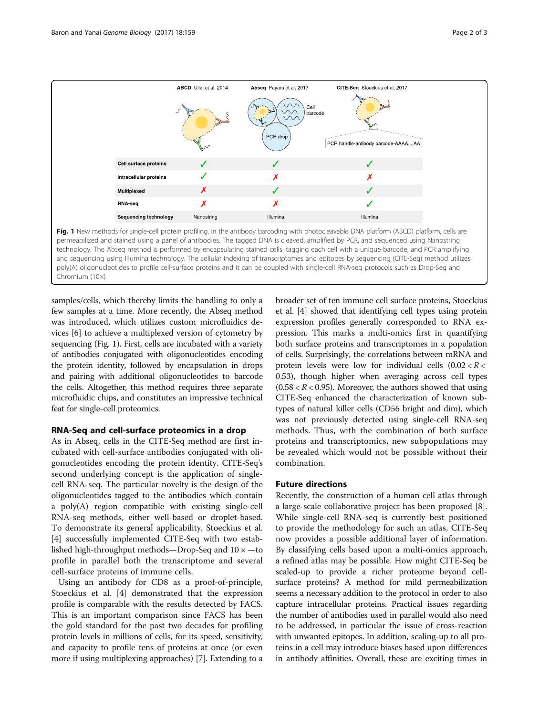<span id="page-1-0"></span>

samples/cells, which thereby limits the handling to only a few samples at a time. More recently, the Abseq method was introduced, which utilizes custom microfluidics devices [\[6\]](#page-2-0) to achieve a multiplexed version of cytometry by sequencing (Fig. 1). First, cells are incubated with a variety of antibodies conjugated with oligonucleotides encoding the protein identity, followed by encapsulation in drops and pairing with additional oligonucleotides to barcode the cells. Altogether, this method requires three separate microfluidic chips, and constitutes an impressive technical feat for single-cell proteomics.

#### RNA-Seq and cell-surface proteomics in a drop

As in Abseq, cells in the CITE-Seq method are first incubated with cell-surface antibodies conjugated with oligonucleotides encoding the protein identity. CITE-Seq's second underlying concept is the application of singlecell RNA-seq. The particular novelty is the design of the oligonucleotides tagged to the antibodies which contain a poly(A) region compatible with existing single-cell RNA-seq methods, either well-based or droplet-based. To demonstrate its general applicability, Stoeckius et al. [[4\]](#page-2-0) successfully implemented CITE-Seq with two established high-throughput methods—Drop-Seq and  $10 \times$  —to profile in parallel both the transcriptome and several cell-surface proteins of immune cells.

Using an antibody for CD8 as a proof-of-principle, Stoeckius et al. [[4\]](#page-2-0) demonstrated that the expression profile is comparable with the results detected by FACS. This is an important comparison since FACS has been the gold standard for the past two decades for profiling protein levels in millions of cells, for its speed, sensitivity, and capacity to profile tens of proteins at once (or even more if using multiplexing approaches) [\[7](#page-2-0)]. Extending to a

broader set of ten immune cell surface proteins, Stoeckius et al. [[4](#page-2-0)] showed that identifying cell types using protein expression profiles generally corresponded to RNA expression. This marks a multi-omics first in quantifying both surface proteins and transcriptomes in a population of cells. Surprisingly, the correlations between mRNA and protein levels were low for individual cells  $(0.02 < R <$ 0.53), though higher when averaging across cell types  $(0.58 < R < 0.95)$ . Moreover, the authors showed that using CITE-Seq enhanced the characterization of known subtypes of natural killer cells (CD56 bright and dim), which was not previously detected using single-cell RNA-seq methods. Thus, with the combination of both surface proteins and transcriptomics, new subpopulations may be revealed which would not be possible without their combination.

#### Future directions

Recently, the construction of a human cell atlas through a large-scale collaborative project has been proposed [\[8](#page-2-0)]. While single-cell RNA-seq is currently best positioned to provide the methodology for such an atlas, CITE-Seq now provides a possible additional layer of information. By classifying cells based upon a multi-omics approach, a refined atlas may be possible. How might CITE-Seq be scaled-up to provide a richer proteome beyond cellsurface proteins? A method for mild permeabilization seems a necessary addition to the protocol in order to also capture intracellular proteins. Practical issues regarding the number of antibodies used in parallel would also need to be addressed, in particular the issue of cross-reaction with unwanted epitopes. In addition, scaling-up to all proteins in a cell may introduce biases based upon differences in antibody affinities. Overall, these are exciting times in